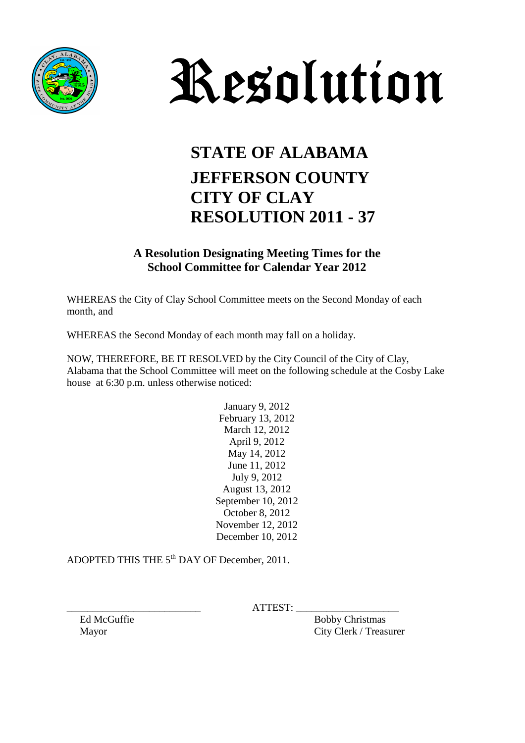



## **STATE OF ALABAMA JEFFERSON COUNTY CITY OF CLAY RESOLUTION 2011 - 37**

**A Resolution Designating Meeting Times for the School Committee for Calendar Year 2012**

WHEREAS the City of Clay School Committee meets on the Second Monday of each month, and

WHEREAS the Second Monday of each month may fall on a holiday.

NOW, THEREFORE, BE IT RESOLVED by the City Council of the City of Clay, Alabama that the School Committee will meet on the following schedule at the Cosby Lake house at 6:30 p.m. unless otherwise noticed:

> January 9, 2012 February 13, 2012 March 12, 2012 April 9, 2012 May 14, 2012 June 11, 2012 July 9, 2012 August 13, 2012 September 10, 2012 October 8, 2012 November 12, 2012 December 10, 2012

ADOPTED THIS THE 5<sup>th</sup> DAY OF December, 2011.

 $ATTEST:$ 

Ed McGuffie Bobby Christmas Mayor City Clerk / Treasurer